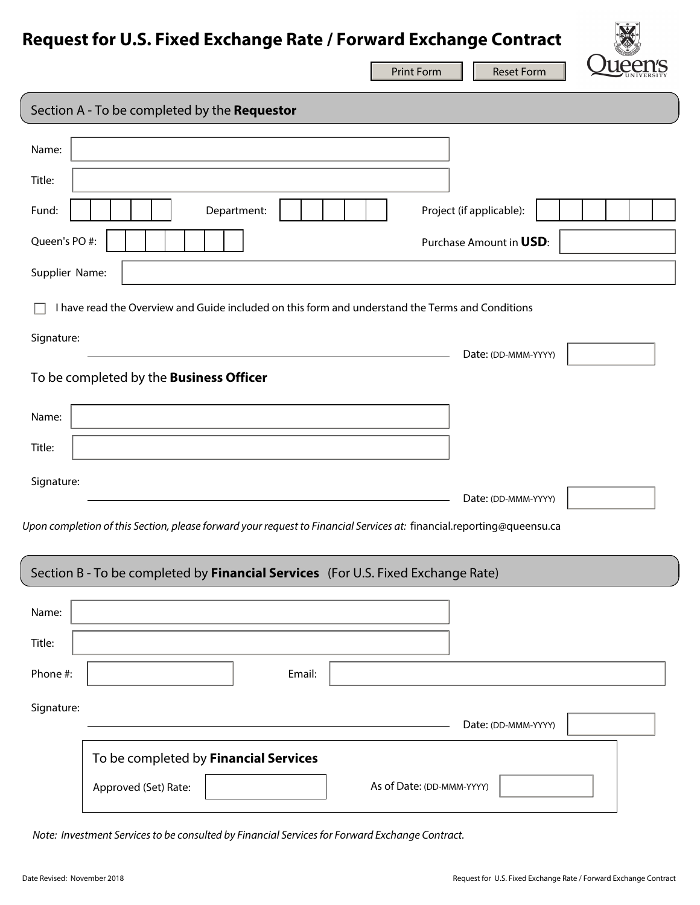## **Request for U.S. Fixed Exchange Rate / Forward Exchange Contract**

|                                                                                                  |                                                                                                                       | <b>Print Form</b> | <b>Reset Form</b>        |  |
|--------------------------------------------------------------------------------------------------|-----------------------------------------------------------------------------------------------------------------------|-------------------|--------------------------|--|
| Section A - To be completed by the Requestor                                                     |                                                                                                                       |                   |                          |  |
| Name:<br>Title:                                                                                  |                                                                                                                       |                   |                          |  |
| Fund:                                                                                            | Department:                                                                                                           |                   | Project (if applicable): |  |
| Queen's PO#:                                                                                     |                                                                                                                       |                   | Purchase Amount in USD:  |  |
| Supplier Name:                                                                                   |                                                                                                                       |                   |                          |  |
| I have read the Overview and Guide included on this form and understand the Terms and Conditions |                                                                                                                       |                   |                          |  |
| Signature:                                                                                       |                                                                                                                       |                   | Date: (DD-MMM-YYYY)      |  |
| To be completed by the Business Officer                                                          |                                                                                                                       |                   |                          |  |
| Name:                                                                                            |                                                                                                                       |                   |                          |  |
| Title:                                                                                           |                                                                                                                       |                   |                          |  |
| Signature:                                                                                       |                                                                                                                       |                   | Date: (DD-MMM-YYYY)      |  |
|                                                                                                  | Upon completion of this Section, please forward your request to Financial Services at: financial.reporting@queensu.ca |                   |                          |  |
|                                                                                                  |                                                                                                                       |                   |                          |  |
| Section B - To be completed by Financial Services (For U.S. Fixed Exchange Rate)                 |                                                                                                                       |                   |                          |  |
| Name:                                                                                            |                                                                                                                       |                   |                          |  |
| Title:                                                                                           |                                                                                                                       |                   |                          |  |
| Phone #:                                                                                         | Email:                                                                                                                |                   |                          |  |
| Signature:                                                                                       |                                                                                                                       |                   | Date: (DD-MMM-YYYY)      |  |
|                                                                                                  | To be completed by Financial Services                                                                                 |                   |                          |  |
|                                                                                                  | Approved (Set) Rate:<br>As of Date: (DD-MMM-YYYY)                                                                     |                   |                          |  |

 *Note: Investment Services to be consulted by Financial Services for Forward Exchange Contract.*